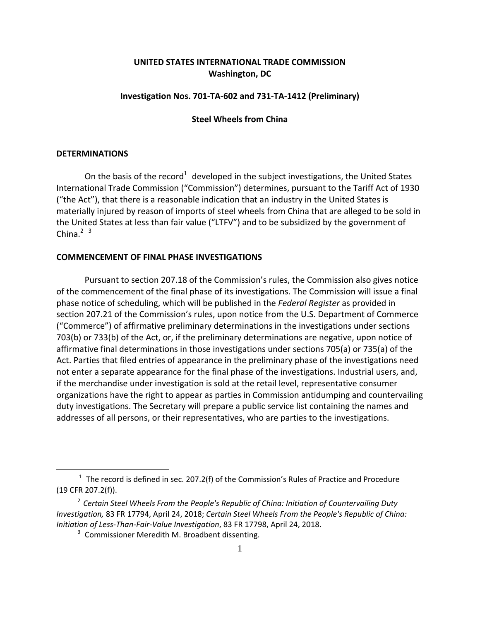# **UNITED STATES INTERNATIONAL TRADE COMMISSION Washington, DC**

## **Investigation Nos. 701‐TA‐602 and 731‐TA‐1412 (Preliminary)**

### **Steel Wheels from China**

#### **DETERMINATIONS**

 $\overline{a}$ 

On the basis of the record<sup>1</sup> developed in the subject investigations, the United States International Trade Commission ("Commission") determines, pursuant to the Tariff Act of 1930 ("the Act"), that there is a reasonable indication that an industry in the United States is materially injured by reason of imports of steel wheels from China that are alleged to be sold in the United States at less than fair value ("LTFV") and to be subsidized by the government of China. $2<sup>3</sup>$ 

#### **COMMENCEMENT OF FINAL PHASE INVESTIGATIONS**

Pursuant to section 207.18 of the Commission's rules, the Commission also gives notice of the commencement of the final phase of its investigations. The Commission will issue a final phase notice of scheduling, which will be published in the *Federal Register* as provided in section 207.21 of the Commission's rules, upon notice from the U.S. Department of Commerce ("Commerce") of affirmative preliminary determinations in the investigations under sections 703(b) or 733(b) of the Act, or, if the preliminary determinations are negative, upon notice of affirmative final determinations in those investigations under sections 705(a) or 735(a) of the Act. Parties that filed entries of appearance in the preliminary phase of the investigations need not enter a separate appearance for the final phase of the investigations. Industrial users, and, if the merchandise under investigation is sold at the retail level, representative consumer organizations have the right to appear as parties in Commission antidumping and countervailing duty investigations. The Secretary will prepare a public service list containing the names and addresses of all persons, or their representatives, who are parties to the investigations.

 $1$  The record is defined in sec. 207.2(f) of the Commission's Rules of Practice and Procedure (19 CFR 207.2(f)).

<sup>2</sup> *Certain Steel Wheels From the People's Republic of China: Initiation of Countervailing Duty Investigation,* 83 FR 17794, April 24, 2018; *Certain Steel Wheels From the People's Republic of China: Initiation of Less‐Than‐Fair‐Value Investigation*, 83 FR 17798, April 24, 2018.

<sup>&</sup>lt;sup>3</sup> Commissioner Meredith M. Broadbent dissenting.